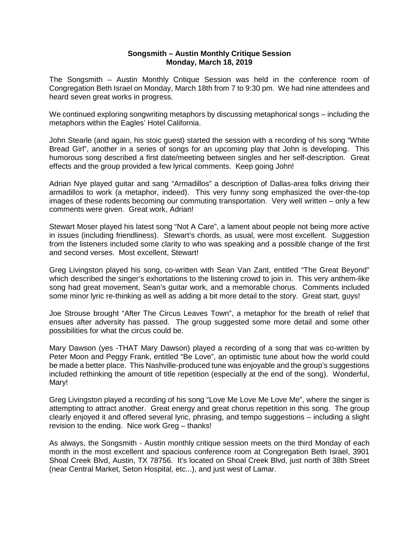## **Songsmith – Austin Monthly Critique Session Monday, March 18, 2019**

The Songsmith – Austin Monthly Critique Session was held in the conference room of Congregation Beth Israel on Monday, March 18th from 7 to 9:30 pm. We had nine attendees and heard seven great works in progress.

We continued exploring songwriting metaphors by discussing metaphorical songs – including the metaphors within the Eagles' Hotel California.

John Stearle (and again, his stoic guest) started the session with a recording of his song "White Bread Girl", another in a series of songs for an upcoming play that John is developing. This humorous song described a first date/meeting between singles and her self-description. Great effects and the group provided a few lyrical comments. Keep going John!

Adrian Nye played guitar and sang "Armadillos" a description of Dallas-area folks driving their armadillos to work (a metaphor, indeed). This very funny song emphasized the over-the-top images of these rodents becoming our commuting transportation. Very well written – only a few comments were given. Great work, Adrian!

Stewart Moser played his latest song "Not A Care", a lament about people not being more active in issues (including friendliness). Stewart's chords, as usual, were most excellent. Suggestion from the listeners included some clarity to who was speaking and a possible change of the first and second verses. Most excellent, Stewart!

Greg Livingston played his song, co-written with Sean Van Zant, entitled "The Great Beyond" which described the singer's exhortations to the listening crowd to join in. This very anthem-like song had great movement, Sean's guitar work, and a memorable chorus. Comments included some minor lyric re-thinking as well as adding a bit more detail to the story. Great start, guys!

Joe Strouse brought "After The Circus Leaves Town", a metaphor for the breath of relief that ensues after adversity has passed. The group suggested some more detail and some other possibilities for what the circus could be.

Mary Dawson (yes -THAT Mary Dawson) played a recording of a song that was co-written by Peter Moon and Peggy Frank, entitled "Be Love", an optimistic tune about how the world could be made a better place. This Nashville-produced tune was enjoyable and the group's suggestions included rethinking the amount of title repetition (especially at the end of the song). Wonderful, Mary!

Greg Livingston played a recording of his song "Love Me Love Me Love Me", where the singer is attempting to attract another. Great energy and great chorus repetition in this song. The group clearly enjoyed it and offered several lyric, phrasing, and tempo suggestions – including a slight revision to the ending. Nice work Greg – thanks!

As always, the Songsmith - Austin monthly critique session meets on the third Monday of each month in the most excellent and spacious conference room at Congregation Beth Israel, 3901 Shoal Creek Blvd, Austin, TX 78756. It's located on Shoal Creek Blvd, just north of 38th Street (near Central Market, Seton Hospital, etc...), and just west of Lamar.